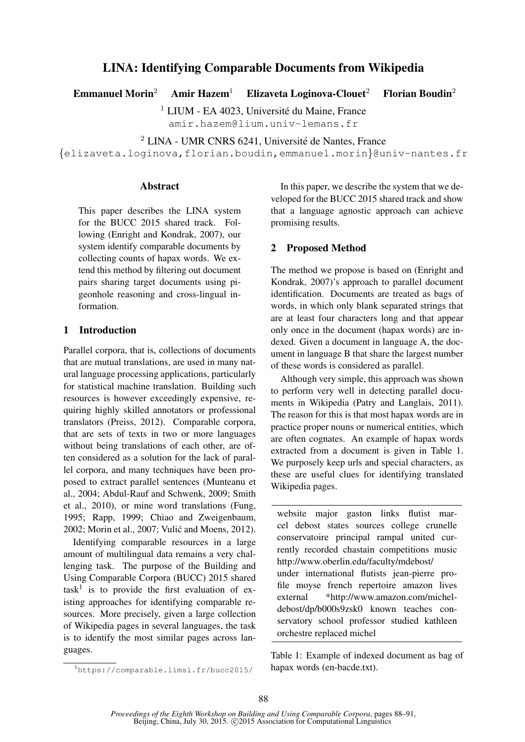# <sup>2</sup> LINA - UMR CNRS 6241, Université de Nantes, France

{elizaveta.loginova,florian.boudin,emmanuel.morin}@univ-nantes.fr

LINA: Identifying Comparable Documents from Wikipedia

Emmanuel Morin<sup>2</sup> Amir Hazem<sup>1</sup> Elizaveta Loginova-Clouet<sup>2</sup> Florian Boudin<sup>2</sup>

 $<sup>1</sup>$  LIUM - EA 4023, Université du Maine, France</sup> amir.hazem@lium.univ-lemans.fr

# **Abstract**

This paper describes the LINA system for the BUCC 2015 shared track. Following (Enright and Kondrak, 2007), our system identify comparable documents by collecting counts of hapax words. We extend this method by filtering out document pairs sharing target documents using pigeonhole reasoning and cross-lingual information.

# 1 Introduction

Parallel corpora, that is, collections of documents that are mutual translations, are used in many natural language processing applications, particularly for statistical machine translation. Building such resources is however exceedingly expensive, requiring highly skilled annotators or professional translators (Preiss, 2012). Comparable corpora, that are sets of texts in two or more languages without being translations of each other, are often considered as a solution for the lack of parallel corpora, and many techniques have been proposed to extract parallel sentences (Munteanu et al., 2004; Abdul-Rauf and Schwenk, 2009; Smith et al., 2010), or mine word translations (Fung, 1995; Rapp, 1999; Chiao and Zweigenbaum, 2002; Morin et al., 2007; Vulic and Moens, 2012). ´

Identifying comparable resources in a large amount of multilingual data remains a very challenging task. The purpose of the Building and Using Comparable Corpora (BUCC) 2015 shared  $task<sup>1</sup>$  is to provide the first evaluation of existing approaches for identifying comparable resources. More precisely, given a large collection of Wikipedia pages in several languages, the task is to identify the most similar pages across languages.

In this paper, we describe the system that we developed for the BUCC 2015 shared track and show that a language agnostic approach can achieve promising results.

# 2 Proposed Method

The method we propose is based on (Enright and Kondrak, 2007)'s approach to parallel document identification. Documents are treated as bags of words, in which only blank separated strings that are at least four characters long and that appear only once in the document (hapax words) are indexed. Given a document in language A, the document in language B that share the largest number of these words is considered as parallel.

Although very simple, this approach was shown to perform very well in detecting parallel documents in Wikipedia (Patry and Langlais, 2011). The reason for this is that most hapax words are in practice proper nouns or numerical entities, which are often cognates. An example of hapax words extracted from a document is given in Table 1. We purposely keep urls and special characters, as these are useful clues for identifying translated Wikipedia pages.

website major gaston links flutist marcel debost states sources college crunelle conservatoire principal rampal united currently recorded chastain competitions music http://www.oberlin.edu/faculty/mdebost/ under international flutists jean-pierre profile moyse french repertoire amazon lives external \*http://www.amazon.com/micheldebost/dp/b000s9zsk0 known teaches conservatory school professor studied kathleen orchestre replaced michel

Table 1: Example of indexed document as bag of hapax words (en-bacde.txt).

<sup>1</sup>https://comparable.limsi.fr/bucc2015/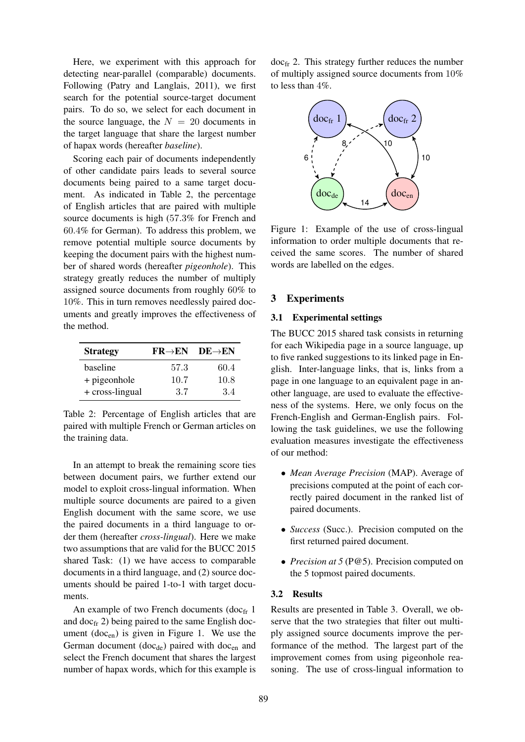Here, we experiment with this approach for detecting near-parallel (comparable) documents. Following (Patry and Langlais, 2011), we first search for the potential source-target document pairs. To do so, we select for each document in the source language, the  $N = 20$  documents in the target language that share the largest number of hapax words (hereafter *baseline*).

Scoring each pair of documents independently of other candidate pairs leads to several source documents being paired to a same target document. As indicated in Table 2, the percentage of English articles that are paired with multiple source documents is high (57.3% for French and 60.4% for German). To address this problem, we remove potential multiple source documents by keeping the document pairs with the highest number of shared words (hereafter *pigeonhole*). This strategy greatly reduces the number of multiply assigned source documents from roughly 60% to 10%. This in turn removes needlessly paired documents and greatly improves the effectiveness of the method.

| <b>Strategy</b>   | $FR\rightarrow EN$ | $DE{\rightarrow}EN$ |
|-------------------|--------------------|---------------------|
| baseline          | 57.3               | 60.4                |
| + pigeonhole      | 10.7               | 10.8                |
| $+$ cross-lingual | 3.7                | 34                  |

Table 2: Percentage of English articles that are paired with multiple French or German articles on the training data.

In an attempt to break the remaining score ties between document pairs, we further extend our model to exploit cross-lingual information. When multiple source documents are paired to a given English document with the same score, we use the paired documents in a third language to order them (hereafter *cross-lingual*). Here we make two assumptions that are valid for the BUCC 2015 shared Task: (1) we have access to comparable documents in a third language, and (2) source documents should be paired 1-to-1 with target documents.

An example of two French documents (doc $_{\text{fr}}$  1 and  $doc<sub>fr</sub>$  2) being paired to the same English document  $(doc_{en})$  is given in Figure 1. We use the German document (doc<sub>de</sub>) paired with doc<sub>en</sub> and select the French document that shares the largest number of hapax words, which for this example is

docfr 2. This strategy further reduces the number of multiply assigned source documents from 10% to less than 4%.



Figure 1: Example of the use of cross-lingual information to order multiple documents that received the same scores. The number of shared words are labelled on the edges.

## 3 Experiments

#### 3.1 Experimental settings

The BUCC 2015 shared task consists in returning for each Wikipedia page in a source language, up to five ranked suggestions to its linked page in English. Inter-language links, that is, links from a page in one language to an equivalent page in another language, are used to evaluate the effectiveness of the systems. Here, we only focus on the French-English and German-English pairs. Following the task guidelines, we use the following evaluation measures investigate the effectiveness of our method:

- *Mean Average Precision* (MAP). Average of precisions computed at the point of each correctly paired document in the ranked list of paired documents.
- *Success* (Succ.). Precision computed on the first returned paired document.
- *Precision at* 5 (P@5). Precision computed on the 5 topmost paired documents.

## 3.2 Results

Results are presented in Table 3. Overall, we observe that the two strategies that filter out multiply assigned source documents improve the performance of the method. The largest part of the improvement comes from using pigeonhole reasoning. The use of cross-lingual information to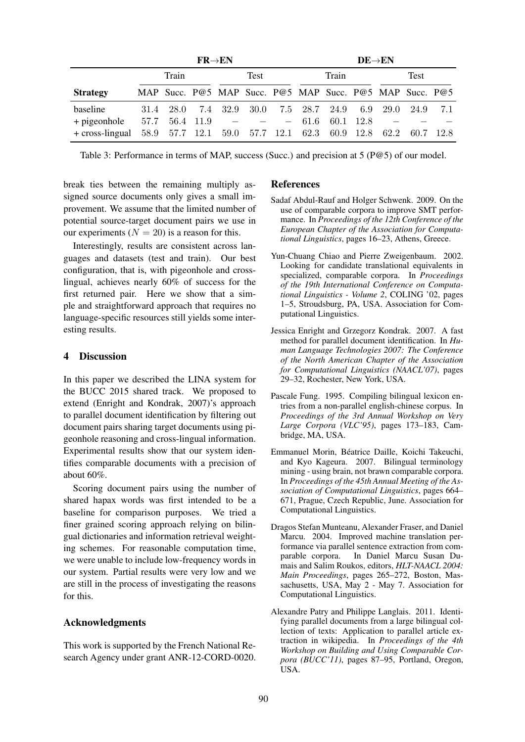|                                 | $FR \rightarrow EN$ |           |      |  |                                                                                              | $DE \rightarrow EN$ |         |      |        |  |                                                         |  |
|---------------------------------|---------------------|-----------|------|--|----------------------------------------------------------------------------------------------|---------------------|---------|------|--------|--|---------------------------------------------------------|--|
|                                 | Train               |           | Test |  | Train                                                                                        |                     |         | Test |        |  |                                                         |  |
| <b>Strategy</b>                 |                     |           |      |  |                                                                                              |                     |         |      |        |  | MAP Succ. P@5 MAP Succ. P@5 MAP Succ. P@5 MAP Succ. P@5 |  |
| baseline                        |                     | 31.4 28.0 |      |  |                                                                                              |                     |         |      |        |  | 7.4 32.9 30.0 7.5 28.7 24.9 6.9 29.0 24.9 7.1           |  |
| + pigeonhole<br>+ cross-lingual |                     |           |      |  | $57.7 \quad 56.4 \quad 11.9 \quad - \quad -$<br>58.9 57.7 12.1 59.0 57.7 12.1 62.3 60.9 12.8 |                     | $-61.6$ | 60.1 | - 12.8 |  | 62.2 60.7 12.8                                          |  |

Table 3: Performance in terms of MAP, success (Succ.) and precision at 5 (P@5) of our model.

break ties between the remaining multiply assigned source documents only gives a small improvement. We assume that the limited number of potential source-target document pairs we use in our experiments ( $N = 20$ ) is a reason for this.

Interestingly, results are consistent across languages and datasets (test and train). Our best configuration, that is, with pigeonhole and crosslingual, achieves nearly 60% of success for the first returned pair. Here we show that a simple and straightforward approach that requires no language-specific resources still yields some interesting results.

## 4 Discussion

In this paper we described the LINA system for the BUCC 2015 shared track. We proposed to extend (Enright and Kondrak, 2007)'s approach to parallel document identification by filtering out document pairs sharing target documents using pigeonhole reasoning and cross-lingual information. Experimental results show that our system identifies comparable documents with a precision of about 60%.

Scoring document pairs using the number of shared hapax words was first intended to be a baseline for comparison purposes. We tried a finer grained scoring approach relying on bilingual dictionaries and information retrieval weighting schemes. For reasonable computation time, we were unable to include low-frequency words in our system. Partial results were very low and we are still in the process of investigating the reasons for this.

## Acknowledgments

This work is supported by the French National Research Agency under grant ANR-12-CORD-0020.

#### References

- Sadaf Abdul-Rauf and Holger Schwenk. 2009. On the use of comparable corpora to improve SMT performance. In *Proceedings of the 12th Conference of the European Chapter of the Association for Computational Linguistics*, pages 16–23, Athens, Greece.
- Yun-Chuang Chiao and Pierre Zweigenbaum. 2002. Looking for candidate translational equivalents in specialized, comparable corpora. In *Proceedings of the 19th International Conference on Computational Linguistics - Volume 2*, COLING '02, pages 1–5, Stroudsburg, PA, USA. Association for Computational Linguistics.
- Jessica Enright and Grzegorz Kondrak. 2007. A fast method for parallel document identification. In *Human Language Technologies 2007: The Conference of the North American Chapter of the Association for Computational Linguistics (NAACL'07)*, pages 29–32, Rochester, New York, USA.
- Pascale Fung. 1995. Compiling bilingual lexicon entries from a non-parallel english-chinese corpus. In *Proceedings of the 3rd Annual Workshop on Very Large Corpora (VLC'95)*, pages 173–183, Cambridge, MA, USA.
- Emmanuel Morin, Beatrice Daille, Koichi Takeuchi, ´ and Kyo Kageura. 2007. Bilingual terminology mining - using brain, not brawn comparable corpora. In *Proceedings of the 45th Annual Meeting of the Association of Computational Linguistics*, pages 664– 671, Prague, Czech Republic, June. Association for Computational Linguistics.
- Dragos Stefan Munteanu, Alexander Fraser, and Daniel Marcu. 2004. Improved machine translation performance via parallel sentence extraction from comparable corpora. In Daniel Marcu Susan Dumais and Salim Roukos, editors, *HLT-NAACL 2004: Main Proceedings*, pages 265–272, Boston, Massachusetts, USA, May 2 - May 7. Association for Computational Linguistics.
- Alexandre Patry and Philippe Langlais. 2011. Identifying parallel documents from a large bilingual collection of texts: Application to parallel article extraction in wikipedia. In *Proceedings of the 4th Workshop on Building and Using Comparable Corpora (BUCC'11)*, pages 87–95, Portland, Oregon, USA.